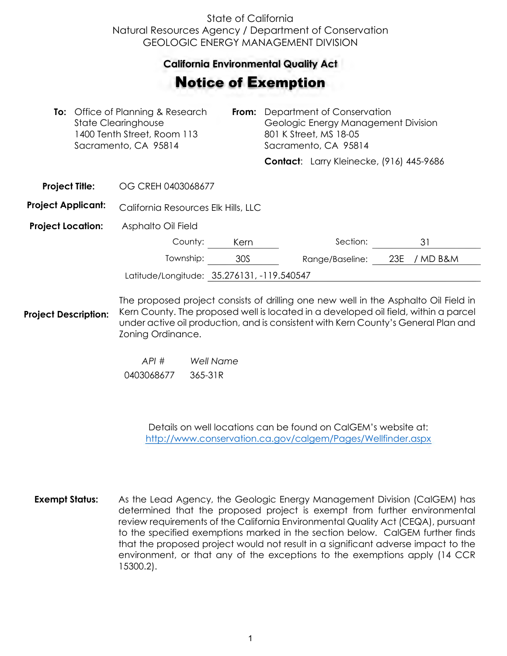## State of California Natural Resources Agency / Department of Conservation GEOLOGIC ENERGY MANAGEMENT DIVISION

## **California Environmental Quality Act**  California Environmental Quality Act

## Notice of Exemption **otice of Exemption**

|                           |  | To: Office of Planning & Research<br><b>State Clearinghouse</b><br>1400 Tenth Street, Room 113<br>Sacramento, CA 95814 | From: | Department of Conservation<br>Geologic Energy Management Division<br>801 K Street, MS 18-05<br>Sacramento, CA 95814 |                                          |     |          |  |
|---------------------------|--|------------------------------------------------------------------------------------------------------------------------|-------|---------------------------------------------------------------------------------------------------------------------|------------------------------------------|-----|----------|--|
|                           |  |                                                                                                                        |       |                                                                                                                     | Contact: Larry Kleinecke, (916) 445-9686 |     |          |  |
| <b>Project Title:</b>     |  | OG CREH 0403068677                                                                                                     |       |                                                                                                                     |                                          |     |          |  |
| <b>Project Applicant:</b> |  | California Resources Elk Hills, LLC                                                                                    |       |                                                                                                                     |                                          |     |          |  |
| <b>Project Location:</b>  |  | Asphalto Oil Field                                                                                                     |       |                                                                                                                     |                                          |     |          |  |
|                           |  | County:                                                                                                                | Kern  |                                                                                                                     | Section:                                 |     | 31       |  |
|                           |  | Township:                                                                                                              | 30S   |                                                                                                                     | Range/Baseline:                          | 23E | / MD B&M |  |
|                           |  | Latitude/Longitude: 35.276131, -119.540547                                                                             |       |                                                                                                                     |                                          |     |          |  |
|                           |  | The proposed project consists of drilling one new well in the Asphalto Oil Field in                                    |       |                                                                                                                     |                                          |     |          |  |

**Project Description:** Kern County. The proposed well is located in a developed oil field, within a parcel under active oil production, and is consistent with Kern County's General Plan and Zoning Ordinance.

> *API # Well Name*  0403068677 365-31R

> > Details on well locations can be found on CalGEM's website at: <http://www.conservation.ca.gov/calgem/Pages/Wellfinder.aspx>

**Exempt Status:** As the Lead Agency, the Geologic Energy Management Division (CalGEM) has determined that the proposed project is exempt from further environmental review requirements of the California Environmental Quality Act (CEQA), pursuant to the specified exemptions marked in the section below. CalGEM further finds that the proposed project would not result in a significant adverse impact to the environment, or that any of the exceptions to the exemptions apply (14 CCR 15300.2).